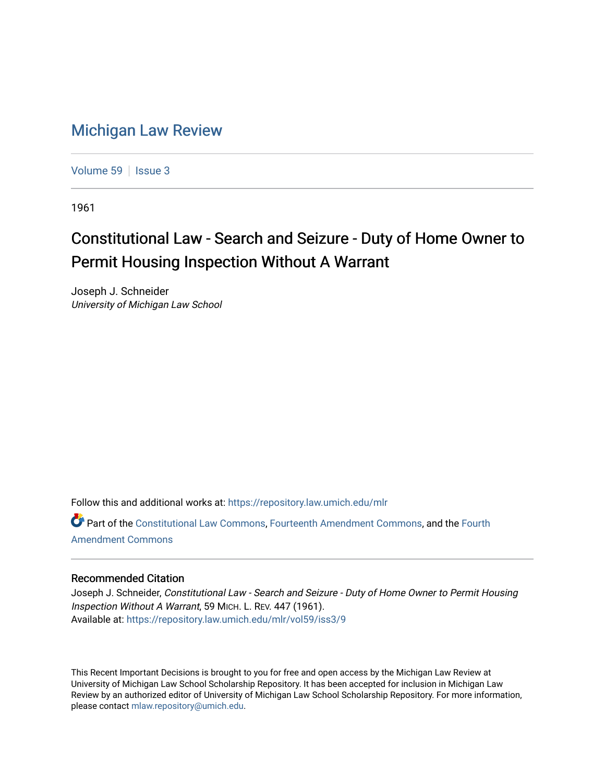## [Michigan Law Review](https://repository.law.umich.edu/mlr)

[Volume 59](https://repository.law.umich.edu/mlr/vol59) | [Issue 3](https://repository.law.umich.edu/mlr/vol59/iss3)

1961

## Constitutional Law - Search and Seizure - Duty of Home Owner to Permit Housing Inspection Without A Warrant

Joseph J. Schneider University of Michigan Law School

Follow this and additional works at: [https://repository.law.umich.edu/mlr](https://repository.law.umich.edu/mlr?utm_source=repository.law.umich.edu%2Fmlr%2Fvol59%2Fiss3%2F9&utm_medium=PDF&utm_campaign=PDFCoverPages) 

Part of the [Constitutional Law Commons,](http://network.bepress.com/hgg/discipline/589?utm_source=repository.law.umich.edu%2Fmlr%2Fvol59%2Fiss3%2F9&utm_medium=PDF&utm_campaign=PDFCoverPages) [Fourteenth Amendment Commons](http://network.bepress.com/hgg/discipline/1116?utm_source=repository.law.umich.edu%2Fmlr%2Fvol59%2Fiss3%2F9&utm_medium=PDF&utm_campaign=PDFCoverPages), and the [Fourth](http://network.bepress.com/hgg/discipline/1180?utm_source=repository.law.umich.edu%2Fmlr%2Fvol59%2Fiss3%2F9&utm_medium=PDF&utm_campaign=PDFCoverPages) [Amendment Commons](http://network.bepress.com/hgg/discipline/1180?utm_source=repository.law.umich.edu%2Fmlr%2Fvol59%2Fiss3%2F9&utm_medium=PDF&utm_campaign=PDFCoverPages)

## Recommended Citation

Joseph J. Schneider, Constitutional Law - Search and Seizure - Duty of Home Owner to Permit Housing Inspection Without A Warrant, 59 MICH. L. REV. 447 (1961). Available at: [https://repository.law.umich.edu/mlr/vol59/iss3/9](https://repository.law.umich.edu/mlr/vol59/iss3/9?utm_source=repository.law.umich.edu%2Fmlr%2Fvol59%2Fiss3%2F9&utm_medium=PDF&utm_campaign=PDFCoverPages)

This Recent Important Decisions is brought to you for free and open access by the Michigan Law Review at University of Michigan Law School Scholarship Repository. It has been accepted for inclusion in Michigan Law Review by an authorized editor of University of Michigan Law School Scholarship Repository. For more information, please contact [mlaw.repository@umich.edu.](mailto:mlaw.repository@umich.edu)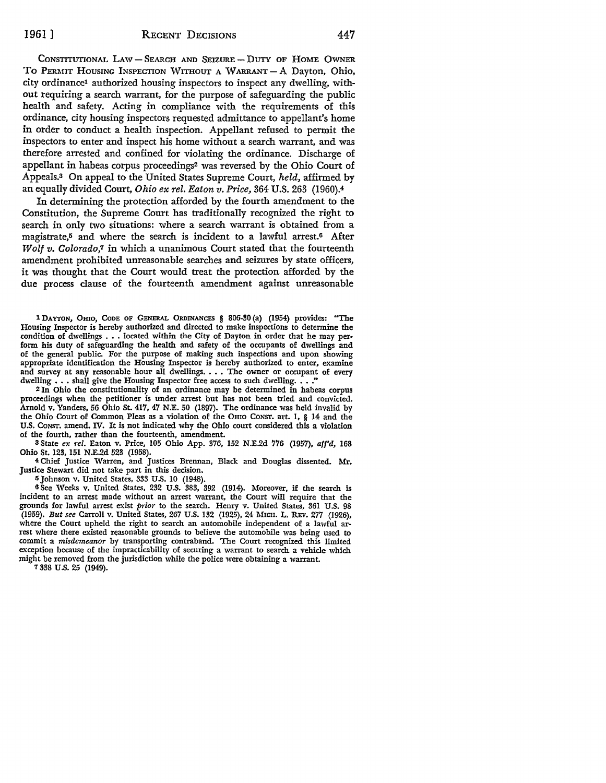CONSTITUTIONAL LAW - SEARCH AND SEIZURE - DUTY OF HOME OWNER TO PERMIT HOUSING INSPECTION WITHOUT A WARRANT - A Dayton, Ohio, city ordinance1 authorized housing inspectors to inspect any dwelling, without requiring a search warrant, for the purpose of safeguarding the public health and safety. Acting in compliance with the requirements of this ordinance, city housing inspectors requested admittance to appellant's home in order to conduct a health inspection. Appellant refused to permit the inspectors to enter and inspect his home without a search warrant, and was therefore arrested and confined for violating the ordinance. Discharge of appellant in habeas corpus proceedings2 was reversed by the Ohio Court of Appeals.3 On appeal to the United States Supreme Court, *held,* affirmed by an equally divided Court, *Ohio ex rel. Eaton v. Price,* 364 U.S. 263 (1960).<sup>4</sup>

In determining the protection afforded by the fourth amendment to the Constitution, the Supreme Court has traditionally recognized the right to search in only two situations: where a search warrant is obtained from a magistrate,<sup>5</sup> and where the search is incident to a lawful arrest.<sup>6</sup> After *Wolf v. Colorado,1* in which a unanimous Court stated that the fourteenth amendment prohibited unreasonable searches and seizures by state officers, it was thought that the Court would treat the protection afforded by the due process clause of the fourteenth amendment against unreasonable

1 DAYTON, OHIO, CODE OF GENERAL ORDINANCES § 806-30 (a) (1954) provides: "The Housing Inspector is hereby authorized and directed to make inspections to determine the condition of dwellings •.. located within the City of Dayton in order that he may perform his duty of safeguarding the health and safety of the occupants of dwellings and of the general public. For the purpose of making such inspections and upon showing appropriate identification the Housing Inspector is hereby authorized to enter, examine and survey at any reasonable hour all dwellings. . . . The owner or occupant of every dwelling  $\ldots$  shall give the Housing Inspector free access to such dwelling  $\ldots$ .

2 In Ohio the constitutionality of an ordinance may be determined in habeas corpus proceedings when the petitioner is under arrest but has not been tried and convicted. Arnold v. Yanders, 56 Ohio St. 417, 47 N.E. 50 (1897). The ordinance was held invalid by the Ohio Court of Common Pleas as a violation of the OHIO CONST. art. I, § 14 and the U.S. CONST. amend. IV. It is not indicated why the Ohio court considered this a violation of the fourth, rather than the fourteenth, amendment.

<sup>8</sup>State *ex rel.* Eaton v. Price, 105 Ohio App. 376, 152 N.E.2d 776 (1957), *affd,* 168 Ohio St. 123, 151 N.E.2d 523 (1958).

4 Chief Justice Warren, and Justices Brennan, Black and Douglas dissented. Mr. Justice Stewart did not take part in this decision.

IS Johnson v. United States, 333 U.S. IO (1948).

6 See Weeks v. United States, 232 U.S. 383, 392 (1914). Moreover, if the search is incident to an arrest made without an arrest warrant, the Court will require that the grounds for lawful arrest exist *prior* to the search. Henry v. United States, 361 U.S. 98 (1959). *But see* Carroll v. United States, 267 U.S. 132 (1925), 24 MICH. L. REv. 277 (1926), where the Court upheld the right to search an automobile independent of a lawful arrest where there existed reasonable grounds to believe the automobile was being used to commit a *misdemeanor* by transporting contraband. The Court recognized this limited exception because of the impracticability of securing a warrant to search a vehicle which might be removed from the jurisdiction while the police were obtaining a warrant.

7 338 U.S. 25 (1949).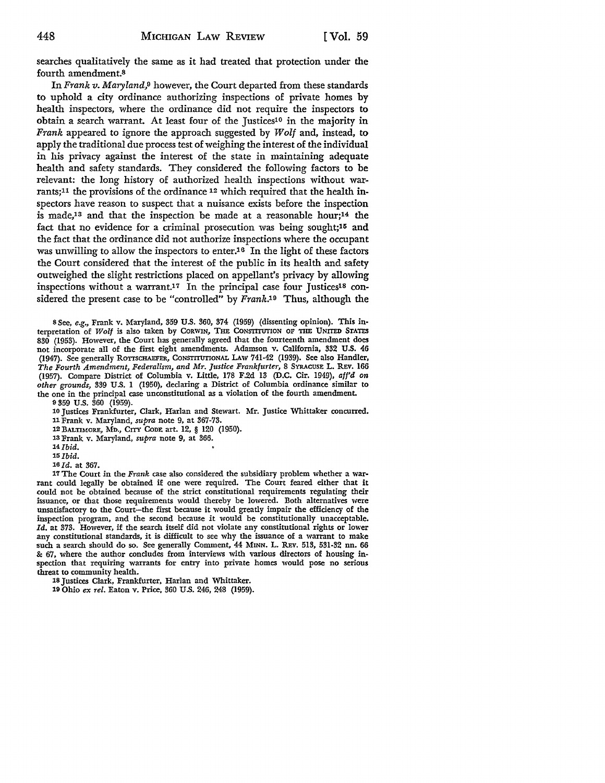searches qualitatively the same as it had treated that protection under the fourth amendment.<sup>8</sup>

In *Frank v. Maryland,9* however, the Court departed from these standards to uphold a city ordinance authorizing inspections of private homes by health inspectors, where the ordinance did not require the inspectors to obtain a search warrant. At least four of the Justices<sup>10</sup> in the majority in *Frank* appeared to ignore the approach suggested by *Wolf* and, instead, to apply the traditional due process test of weighing the interest of the individual in his privacy against the interest of the state in maintaining adequate health and safety standards. They considered the following factors to be relevant: the long history of authorized health inspections without warrants;11 the provisions of the ordinance 12 which required that the health inspectors have reason to suspect that a nuisance exists before the inspection is made,13 and that the inspection be made at a reasonable hour;14 the fact that no evidence for a criminal prosecution was being sought;15 and the fact that the ordinance did not authorize inspections where the occupant was unwilling to allow the inspectors to enter.<sup>16</sup> In the light of these factors the Court considered that the interest of the public in its health and safety outweighed the slight restrictions placed on appellant's privacy by allowing inspections without a warrant.<sup>17</sup> In the principal case four Justices<sup>18</sup> considered the present case to be "controlled" by *Frank.19* Thus, although the

s See, *e.g.,* Frank v. Maryland, 359 U.S. 360, 374 (1959) (dissenting opinion). This interpretation of Wolf is also taken by CORWIN, THE CONSTITUTION OF THE UNITED STATES 830 (1953). However, the Court has generally agreed that the fourteenth amendment does not incorporate all of the first eight amendments. Adamson v. California, 332 U.S. 46 (1947). See generally ROTTSCHAEFER, CONSTITUTIONAL LAW 741-42 (1939). See also Handler, *The Fourth Amendment, Federalism, and Mr. Justice Frankfurter,* 8 SYRACUSE L. REv. 166 (1957). Compare District of Columbia v. Little, 178 F.2d 13 (D.C. Cir. 1949), *aff'd on other grounds,* 339 U.S. I (1950), declaring a District of Columbia ordinance similar to the one in the principal case unconstitutional as a violation of the fourth amendment.

9 359 U.S. 360 (1959).

10 Justices Frankfurter, Clark, Harlan and Stewart. Mr. Justice Whittaker concurred. 11 Frank v. Maryland, *supra* note 9, at 367-73.

12 BALTIMORE, Mn., CITY CODE art. 12, § 120 (1950).

13 Frank v. Maryland, *supra* note 9, at 366.

*14Jbid.* 

*15Ibid.* 

*16Jd.* at 367.

17 The Court in the *Frank* case also considered the subsidiary problem whether a warrant could legally be obtained if one were required. The Court feared either that it could not be obtained because of the strict constitutional requirements regulating their issuance, or that those requirements would thereby be lowered. Both alternatives were unsatisfactory to the Court-the first because it would greatly impair the efficiency of the inspection program, and the second because it would be constitutionally unacceptable. *Id.* at 373. However, if the search itself did not violate any constitutional rights or lower any constitutional standards, it is difficult to see why the issuance of a warrant to make such a search should do so. See generally Comment, 44 MINN. L. REV. 513, 531-32 nn. 66 S: 67, where the author concludes from interviews with various directors of housing inspection that requiring warrants for entry into private homes would pose no serious threat to community health.

18 Justices Clark, Frankfurter, Harlan and Whittaker.

19 Ohio *ex rel.* Eaton v. Price, 360 U.S. 246, 248 (1959).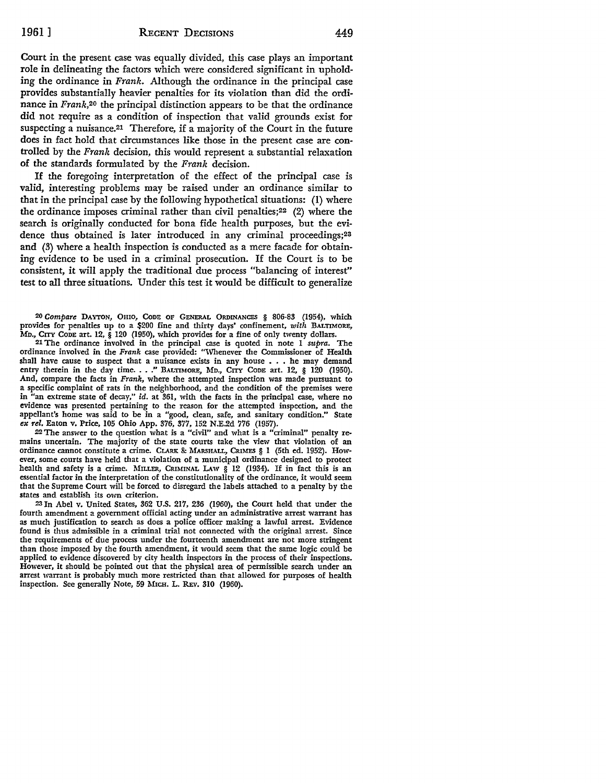Court in the present case was equally divided, this case plays an important role in delineating the factors which were considered significant in upholding the ordinance in Frank. Although the ordinance in the principal case provides substantially heavier penalties for its violation than did the ordinance in *Frank*,<sup>20</sup> the principal distinction appears to be that the ordinance did not require as a condition of inspection that valid grounds exist for suspecting a nuisance.<sup>21</sup> Therefore, if a majority of the Court in the future does in fact hold that circumstances like those in the present case are controlled by the Frank decision, this would represent a substantial relaxation of the standards formulated by the Frank decision.

If the foregoing interpretation of the effect of the principal case is valid, interesting problems may be raised under an ordinance similar to that in the principal case by the following hypothetical situations: (I) where the ordinance imposes criminal rather than civil penalties;<sup>22</sup> (2) where the search is originally conducted for bona fide health purposes, but the evidence thus obtained is later introduced in any criminal proceedings;<sup>23</sup> and (3) where a health inspection is conducted as a mere facade for obtaining evidence to be used in a criminal prosecution. If the Court is to be consistent, it will apply the traditional due process "balancing of interest" test to all three situations. Under this test it would be difficult to generalize

20 *Compare* DAYTON, OHIO, CoDE OF GENERAL ORDINANCES § 806-83 (1954), which provides for penalties up to a \$200 fine and thirty days' confinement, *with* BALTIMORE, MD., CITY CODE art. 12,  $\hat{\S}$  120 (1950), which provides for a fine of only twenty dollars.

21 The ordinance involved in the principal case is quoted in note I *supra.* The ordinance involved in the *Frank* case provided: ""Whenever the Commissioner of Health shall have cause to suspect that a nuisance exists in any house . . . he may demand entry therein in the day time. . . ." BALTIMORE, MD., CITY CODE art. 12, § 120 (1950). And, compare the facts in *Frank,* where the attempted inspection was made pursuant to a specific complaint of rats in the neighborhood, and the condition of the premises were in "an extreme state of decay," id. at 361, with the facts in the principal case, where no evidence was presented pertaining to the reason for the attempted inspection, and the appellant's home was said to be in a "good, clean, safe, and sanitary condition." State *ex rel.* Eaton v. Price, 105 Ohio App. 376, 377, 152 N.E.2d 776 (1957).

22 The answer to the question what is a "civil" and what is a "criminal" penalty remains uncertain. The majority of the state courts take the view that violation of an ordinance cannot constitute a crime. CLARK & MARSHALL, CRIMES § 1 (5th ed. 1952). How**ever,** some courts have held that a violation of a municipal ordinance designed to protect health and safety is a crime. MILLER, CRIMINAL LAW  $\hat{\S}$  12 (1934). If in fact this is an essential factor in the interpretation of the constitutionality of the ordinance, it would seem that the Supreme Court will be forced to disregard the labels attached to a penalty by the **states** and establish its own criterion.

23 In Abel v. United States, 362 U.S. 217, 236 (1960), the Court held that under the fourth amendment a government official acting under an administrative arrest warrant has as much justification to search as does a police officer making a lawful arrest. Evidence found is thus admissible in a criminal trial not connected with the original arrest. Since the requirements of due process under the fourteenth amendment are not more stringent than those imposed by the fourth amendment, it would seem that the same logic could be applied to evidence discovered by city health inspectors in the process of their inspections. However, it should be pointed out that the physical area of permissible search under an arrest warrant is probably much more restricted than that allowed for purposes of health inspection. See generally Note, 59 MICH. L. REv. 310 (1960).